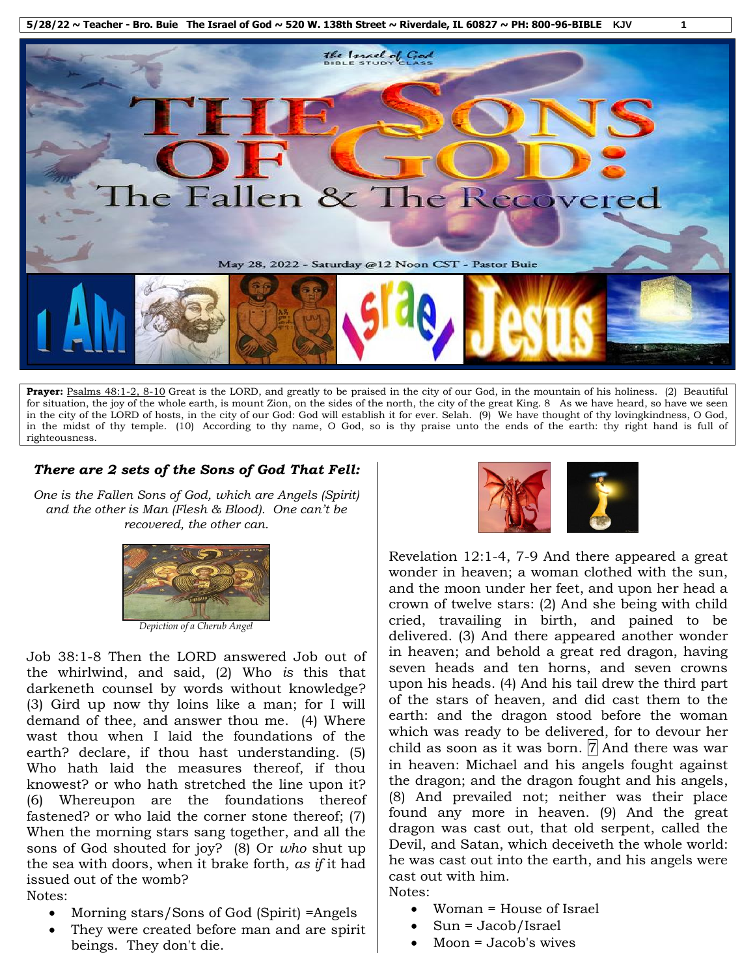

**Prayer:** Psalms 48:1-2, 8-10 Great is the LORD, and greatly to be praised in the city of our God, in the mountain of his holiness. (2) Beautiful for situation, the joy of the whole earth, is mount Zion, on the sides of the north, the city of the great King. 8 As we have heard, so have we seen in the city of the LORD of hosts, in the city of our God: God will establish it for ever. Selah. (9) We have thought of thy lovingkindness, O God, in the midst of thy temple. (10) According to thy name, O God, so is thy praise unto the ends of the earth: thy right hand is full of righteousness.

# *There are 2 sets of the Sons of God That Fell:*

*One is the Fallen Sons of God, which are Angels (Spirit) and the other is Man (Flesh & Blood). One can't be recovered, the other can.*



Job 38:1-8 Then the LORD answered Job out of the whirlwind, and said, (2) Who *is* this that darkeneth counsel by words without knowledge? (3) Gird up now thy loins like a man; for I will demand of thee, and answer thou me. (4) Where wast thou when I laid the foundations of the earth? declare, if thou hast understanding. (5) Who hath laid the measures thereof, if thou knowest? or who hath stretched the line upon it? (6) Whereupon are the foundations thereof fastened? or who laid the corner stone thereof; (7) When the morning stars sang together, and all the sons of God shouted for joy? (8) Or *who* shut up the sea with doors, when it brake forth, *as if* it had issued out of the womb? Notes:

- Morning stars/Sons of God (Spirit) = Angels
- They were created before man and are spirit beings. They don't die.



Revelation 12:1-4, 7-9 And there appeared a great wonder in heaven; a woman clothed with the sun, and the moon under her feet, and upon her head a crown of twelve stars: (2) And she being with child cried, travailing in birth, and pained to be delivered. (3) And there appeared another wonder in heaven; and behold a great red dragon, having seven heads and ten horns, and seven crowns upon his heads. (4) And his tail drew the third part of the stars of heaven, and did cast them to the earth: and the dragon stood before the woman which was ready to be delivered, for to devour her child as soon as it was born.  $|7|$  And there was war in heaven: Michael and his angels fought against the dragon; and the dragon fought and his angels, (8) And prevailed not; neither was their place found any more in heaven. (9) And the great dragon was cast out, that old serpent, called the Devil, and Satan, which deceiveth the whole world: he was cast out into the earth, and his angels were cast out with him. Notes:

- Woman = House of Israel
- Sun = Jacob/Israel
- Moon = Jacob's wives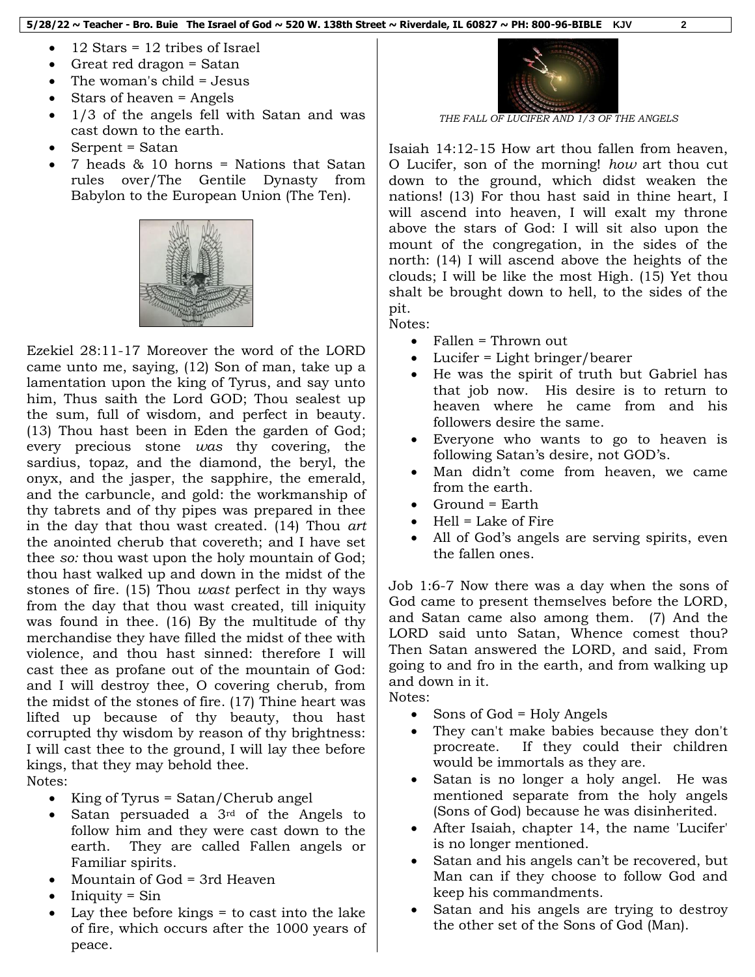- 12 Stars = 12 tribes of Israel
- Great red dragon = Satan
- The woman's child = Jesus
- Stars of heaven = Angels
- 1/3 of the angels fell with Satan and was cast down to the earth.
- Serpent = Satan
- 7 heads & 10 horns = Nations that Satan rules over/The Gentile Dynasty from Babylon to the European Union (The Ten).



Ezekiel 28:11-17 Moreover the word of the LORD came unto me, saying, (12) Son of man, take up a lamentation upon the king of Tyrus, and say unto him, Thus saith the Lord GOD; Thou sealest up the sum, full of wisdom, and perfect in beauty. (13) Thou hast been in Eden the garden of God; every precious stone *was* thy covering, the sardius, topaz, and the diamond, the beryl, the onyx, and the jasper, the sapphire, the emerald, and the carbuncle, and gold: the workmanship of thy tabrets and of thy pipes was prepared in thee in the day that thou wast created. (14) Thou *art* the anointed cherub that covereth; and I have set thee *so:* thou wast upon the holy mountain of God; thou hast walked up and down in the midst of the stones of fire. (15) Thou *wast* perfect in thy ways from the day that thou wast created, till iniquity was found in thee. (16) By the multitude of thy merchandise they have filled the midst of thee with violence, and thou hast sinned: therefore I will cast thee as profane out of the mountain of God: and I will destroy thee, O covering cherub, from the midst of the stones of fire. (17) Thine heart was lifted up because of thy beauty, thou hast corrupted thy wisdom by reason of thy brightness: I will cast thee to the ground, I will lay thee before kings, that they may behold thee.

- Notes:
	- $\bullet$  King of Tyrus = Satan/Cherub angel
	- Satan persuaded a 3<sup>rd</sup> of the Angels to follow him and they were cast down to the earth. They are called Fallen angels or Familiar spirits.
	- Mountain of God = 3rd Heaven
	- $\bullet$  Iniquity = Sin
	- Lay thee before kings = to cast into the lake of fire, which occurs after the 1000 years of peace.



*THE FALL OF LUCIFER AND 1/3 OF THE ANGELS*

Isaiah 14:12-15 How art thou fallen from heaven, O Lucifer, son of the morning! *how* art thou cut down to the ground, which didst weaken the nations! (13) For thou hast said in thine heart, I will ascend into heaven, I will exalt my throne above the stars of God: I will sit also upon the mount of the congregation, in the sides of the north: (14) I will ascend above the heights of the clouds; I will be like the most High. (15) Yet thou shalt be brought down to hell, to the sides of the pit.

Notes:

- Fallen = Thrown out
- Lucifer = Light bringer/bearer
- He was the spirit of truth but Gabriel has that job now. His desire is to return to heaven where he came from and his followers desire the same.
- Everyone who wants to go to heaven is following Satan's desire, not GOD's.
- Man didn't come from heaven, we came from the earth.
- Ground = Earth
- Hell = Lake of Fire
- All of God's angels are serving spirits, even the fallen ones.

Job 1:6-7 Now there was a day when the sons of God came to present themselves before the LORD, and Satan came also among them. (7) And the LORD said unto Satan, Whence comest thou? Then Satan answered the LORD, and said, From going to and fro in the earth, and from walking up and down in it.

Notes:

- Sons of God = Holy Angels
- They can't make babies because they don't procreate. If they could their children would be immortals as they are.
- Satan is no longer a holy angel. He was mentioned separate from the holy angels (Sons of God) because he was disinherited.
- After Isaiah, chapter 14, the name 'Lucifer' is no longer mentioned.
- Satan and his angels can't be recovered, but Man can if they choose to follow God and keep his commandments.
- Satan and his angels are trying to destroy the other set of the Sons of God (Man).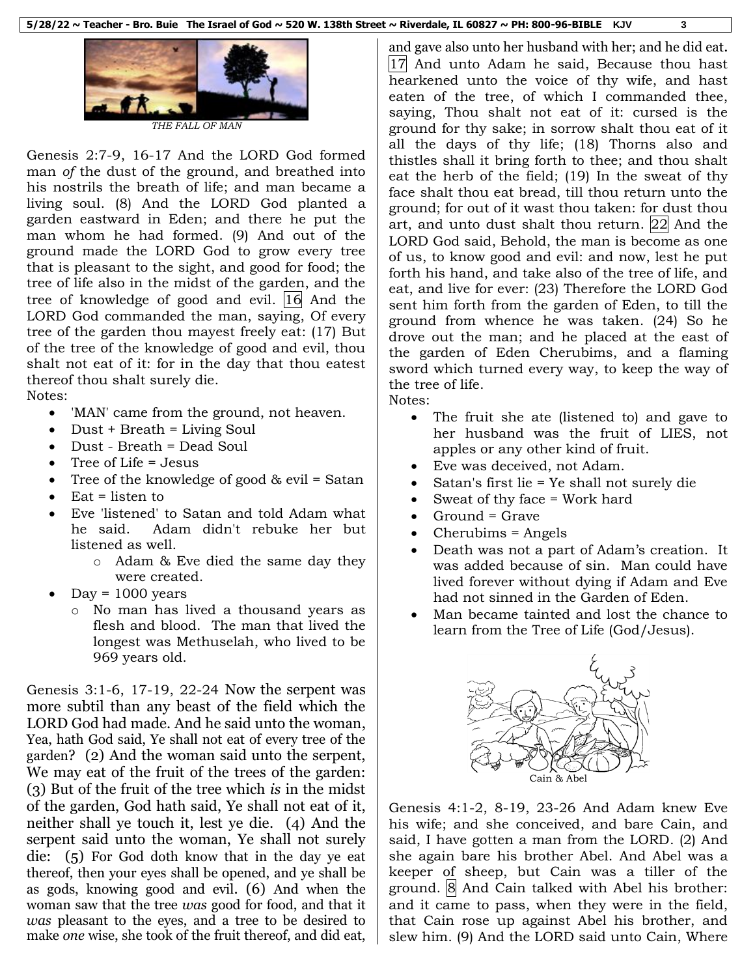

*THE FALL OF MAN*

Genesis 2:7-9, 16-17 And the LORD God formed man *of* the dust of the ground, and breathed into his nostrils the breath of life; and man became a living soul. (8) And the LORD God planted a garden eastward in Eden; and there he put the man whom he had formed. (9) And out of the ground made the LORD God to grow every tree that is pleasant to the sight, and good for food; the tree of life also in the midst of the garden, and the tree of knowledge of good and evil. 16 And the LORD God commanded the man, saying, Of every tree of the garden thou mayest freely eat: (17) But of the tree of the knowledge of good and evil, thou shalt not eat of it: for in the day that thou eatest thereof thou shalt surely die.

Notes:

- 'MAN' came from the ground, not heaven.
- Dust + Breath = Living Soul
- Dust Breath = Dead Soul
- $\bullet$  Tree of Life = Jesus
- Tree of the knowledge of good  $&$  evil = Satan
- $\bullet$  Eat = listen to
- Eve 'listened' to Satan and told Adam what he said. Adam didn't rebuke her but listened as well.
	- o Adam & Eve died the same day they were created.
- $Day = 1000 years$ 
	- o No man has lived a thousand years as flesh and blood. The man that lived the longest was Methuselah, who lived to be 969 years old.

Genesis 3:1-6, 17-19, 22-24 Now the serpent was more subtil than any beast of the field which the LORD God had made. And he said unto the woman, Yea, hath God said, Ye shall not eat of every tree of the garden? (2) And the woman said unto the serpent, We may eat of the fruit of the trees of the garden: (3) But of the fruit of the tree which *is* in the midst of the garden, God hath said, Ye shall not eat of it, neither shall ye touch it, lest ye die. (4) And the serpent said unto the woman, Ye shall not surely die: (5) For God doth know that in the day ye eat thereof, then your eyes shall be opened, and ye shall be as gods, knowing good and evil. (6) And when the woman saw that the tree *was* good for food, and that it *was* pleasant to the eyes, and a tree to be desired to make *one* wise, she took of the fruit thereof, and did eat,

and gave also unto her husband with her; and he did eat. 17 And unto Adam he said, Because thou hast hearkened unto the voice of thy wife, and hast eaten of the tree, of which I commanded thee, saying, Thou shalt not eat of it: cursed is the ground for thy sake; in sorrow shalt thou eat of it all the days of thy life; (18) Thorns also and thistles shall it bring forth to thee; and thou shalt eat the herb of the field; (19) In the sweat of thy face shalt thou eat bread, till thou return unto the ground; for out of it wast thou taken: for dust thou art, and unto dust shalt thou return. 22 And the LORD God said, Behold, the man is become as one of us, to know good and evil: and now, lest he put forth his hand, and take also of the tree of life, and eat, and live for ever: (23) Therefore the LORD God sent him forth from the garden of Eden, to till the ground from whence he was taken. (24) So he drove out the man; and he placed at the east of the garden of Eden Cherubims, and a flaming sword which turned every way, to keep the way of the tree of life.

Notes:

- The fruit she ate (listened to) and gave to her husband was the fruit of LIES, not apples or any other kind of fruit.
- Eve was deceived, not Adam.
- Satan's first lie = Ye shall not surely die
- Sweat of thy face = Work hard
- Ground = Grave
- Cherubims = Angels
- Death was not a part of Adam's creation. It was added because of sin. Man could have lived forever without dying if Adam and Eve had not sinned in the Garden of Eden.
- Man became tainted and lost the chance to learn from the Tree of Life (God/Jesus).



Genesis 4:1-2, 8-19, 23-26 And Adam knew Eve his wife; and she conceived, and bare Cain, and said, I have gotten a man from the LORD. (2) And she again bare his brother Abel. And Abel was a keeper of sheep, but Cain was a tiller of the ground.  $\otimes$  And Cain talked with Abel his brother: and it came to pass, when they were in the field, that Cain rose up against Abel his brother, and slew him. (9) And the LORD said unto Cain, Where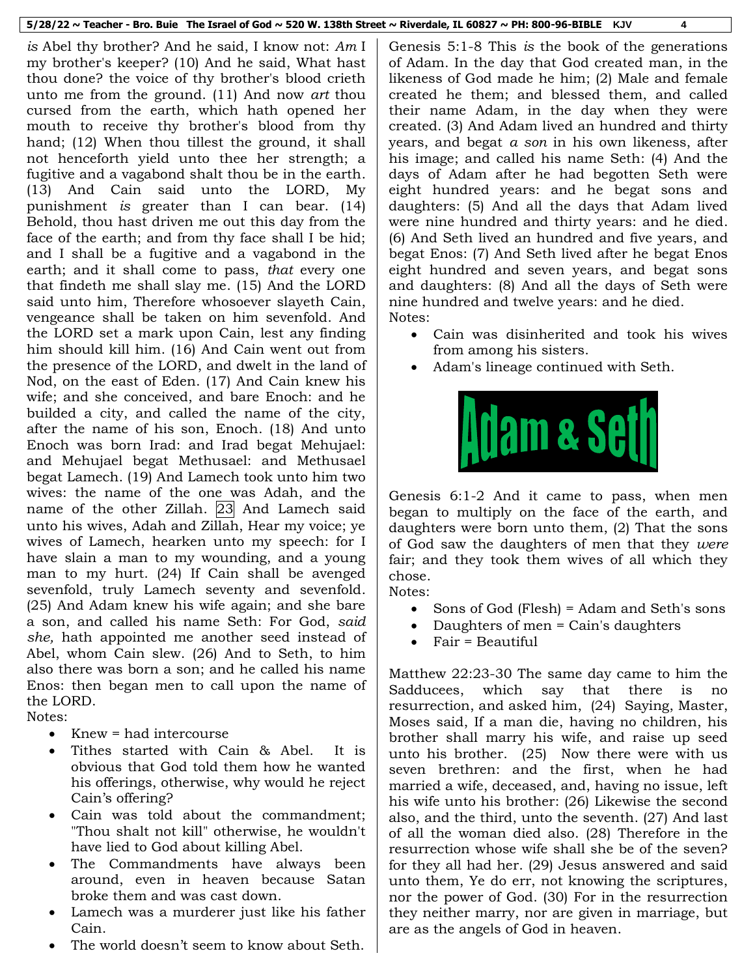*is* Abel thy brother? And he said, I know not: *Am* I my brother's keeper? (10) And he said, What hast thou done? the voice of thy brother's blood crieth unto me from the ground. (11) And now *art* thou cursed from the earth, which hath opened her mouth to receive thy brother's blood from thy hand; (12) When thou tillest the ground, it shall not henceforth yield unto thee her strength; a fugitive and a vagabond shalt thou be in the earth. (13) And Cain said unto the LORD, My punishment *is* greater than I can bear. (14) Behold, thou hast driven me out this day from the face of the earth; and from thy face shall I be hid; and I shall be a fugitive and a vagabond in the earth; and it shall come to pass, *that* every one that findeth me shall slay me. (15) And the LORD said unto him, Therefore whosoever slayeth Cain, vengeance shall be taken on him sevenfold. And the LORD set a mark upon Cain, lest any finding him should kill him. (16) And Cain went out from the presence of the LORD, and dwelt in the land of Nod, on the east of Eden. (17) And Cain knew his wife; and she conceived, and bare Enoch: and he builded a city, and called the name of the city, after the name of his son, Enoch. (18) And unto Enoch was born Irad: and Irad begat Mehujael: and Mehujael begat Methusael: and Methusael begat Lamech. (19) And Lamech took unto him two wives: the name of the one was Adah, and the name of the other Zillah. 23 And Lamech said unto his wives, Adah and Zillah, Hear my voice; ye wives of Lamech, hearken unto my speech: for I have slain a man to my wounding, and a young man to my hurt. (24) If Cain shall be avenged sevenfold, truly Lamech seventy and sevenfold. (25) And Adam knew his wife again; and she bare a son, and called his name Seth: For God, *said she,* hath appointed me another seed instead of Abel, whom Cain slew. (26) And to Seth, to him also there was born a son; and he called his name Enos: then began men to call upon the name of the LORD.

Notes:

- Knew = had intercourse
- Tithes started with Cain & Abel. It is obvious that God told them how he wanted his offerings, otherwise, why would he reject Cain's offering?
- Cain was told about the commandment; "Thou shalt not kill" otherwise, he wouldn't have lied to God about killing Abel.
- The Commandments have always been around, even in heaven because Satan broke them and was cast down.
- Lamech was a murderer just like his father Cain.
- The world doesn't seem to know about Seth.

Genesis 5:1-8 This *is* the book of the generations of Adam. In the day that God created man, in the likeness of God made he him; (2) Male and female created he them; and blessed them, and called their name Adam, in the day when they were created. (3) And Adam lived an hundred and thirty years, and begat *a son* in his own likeness, after his image; and called his name Seth: (4) And the days of Adam after he had begotten Seth were eight hundred years: and he begat sons and daughters: (5) And all the days that Adam lived were nine hundred and thirty years: and he died. (6) And Seth lived an hundred and five years, and begat Enos: (7) And Seth lived after he begat Enos eight hundred and seven years, and begat sons and daughters: (8) And all the days of Seth were nine hundred and twelve years: and he died. Notes:

- Cain was disinherited and took his wives from among his sisters.
- Adam's lineage continued with Seth.



Genesis 6:1-2 And it came to pass, when men began to multiply on the face of the earth, and daughters were born unto them, (2) That the sons of God saw the daughters of men that they *were* fair; and they took them wives of all which they chose.

Notes:

- Sons of God (Flesh) = Adam and Seth's sons
- Daughters of men = Cain's daughters
- Fair = Beautiful

Matthew 22:23-30 The same day came to him the Sadducees, which say that there is no resurrection, and asked him, (24) Saying, Master, Moses said, If a man die, having no children, his brother shall marry his wife, and raise up seed unto his brother. (25) Now there were with us seven brethren: and the first, when he had married a wife, deceased, and, having no issue, left his wife unto his brother: (26) Likewise the second also, and the third, unto the seventh. (27) And last of all the woman died also. (28) Therefore in the resurrection whose wife shall she be of the seven? for they all had her. (29) Jesus answered and said unto them, Ye do err, not knowing the scriptures, nor the power of God. (30) For in the resurrection they neither marry, nor are given in marriage, but are as the angels of God in heaven.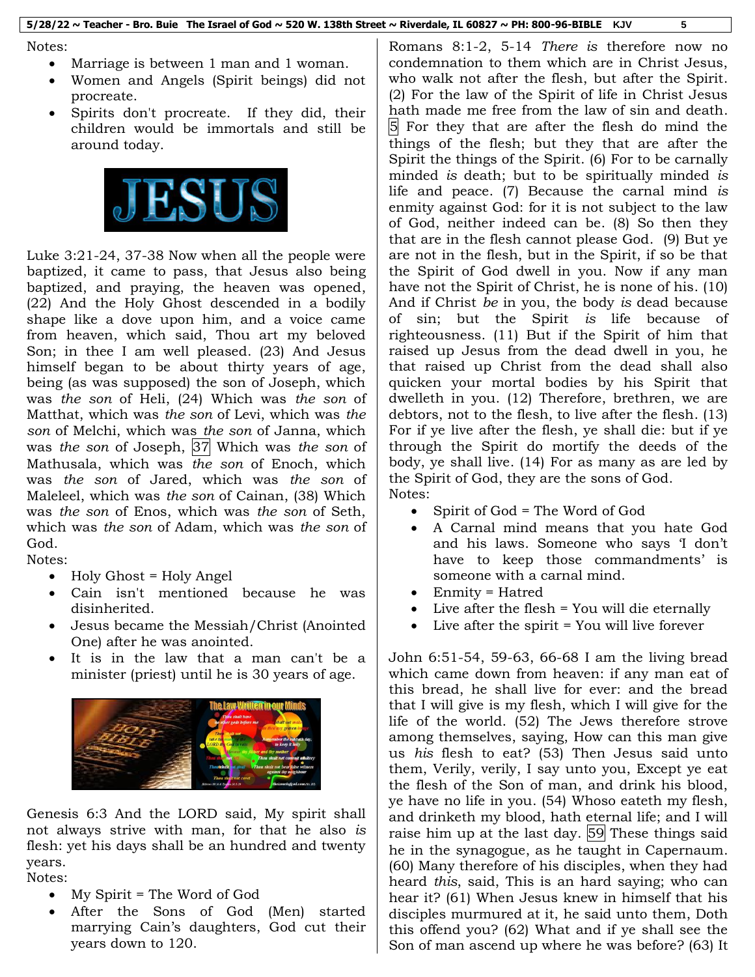Notes:

- Marriage is between 1 man and 1 woman.
- Women and Angels (Spirit beings) did not procreate.
- Spirits don't procreate. If they did, their children would be immortals and still be around today.



Luke 3:21-24, 37-38 Now when all the people were baptized, it came to pass, that Jesus also being baptized, and praying, the heaven was opened, (22) And the Holy Ghost descended in a bodily shape like a dove upon him, and a voice came from heaven, which said, Thou art my beloved Son; in thee I am well pleased. (23) And Jesus himself began to be about thirty years of age, being (as was supposed) the son of Joseph, which was *the son* of Heli, (24) Which was *the son* of Matthat, which was *the son* of Levi, which was *the son* of Melchi, which was *the son* of Janna, which was *the son* of Joseph, 37 Which was *the son* of Mathusala, which was *the son* of Enoch, which was *the son* of Jared, which was *the son* of Maleleel, which was *the son* of Cainan, (38) Which was *the son* of Enos, which was *the son* of Seth, which was *the son* of Adam, which was *the son* of God.

Notes:

- Holy Ghost = Holy Angel
- Cain isn't mentioned because he was disinherited.
- Jesus became the Messiah/Christ (Anointed One) after he was anointed.
- It is in the law that a man can't be a minister (priest) until he is 30 years of age.



Genesis 6:3 And the LORD said, My spirit shall not always strive with man, for that he also *is* flesh: yet his days shall be an hundred and twenty years.

Notes:

- My Spirit = The Word of God
- After the Sons of God (Men) started marrying Cain's daughters, God cut their years down to 120.

Romans 8:1-2, 5-14 *There is* therefore now no condemnation to them which are in Christ Jesus, who walk not after the flesh, but after the Spirit. (2) For the law of the Spirit of life in Christ Jesus hath made me free from the law of sin and death. 5 For they that are after the flesh do mind the things of the flesh; but they that are after the Spirit the things of the Spirit. (6) For to be carnally minded *is* death; but to be spiritually minded *is* life and peace. (7) Because the carnal mind *is* enmity against God: for it is not subject to the law of God, neither indeed can be. (8) So then they that are in the flesh cannot please God. (9) But ye are not in the flesh, but in the Spirit, if so be that the Spirit of God dwell in you. Now if any man have not the Spirit of Christ, he is none of his. (10) And if Christ *be* in you, the body *is* dead because of sin; but the Spirit *is* life because of righteousness. (11) But if the Spirit of him that raised up Jesus from the dead dwell in you, he that raised up Christ from the dead shall also quicken your mortal bodies by his Spirit that dwelleth in you. (12) Therefore, brethren, we are debtors, not to the flesh, to live after the flesh. (13) For if ye live after the flesh, ye shall die: but if ye through the Spirit do mortify the deeds of the body, ye shall live. (14) For as many as are led by the Spirit of God, they are the sons of God. Notes:

- Spirit of God = The Word of God
- A Carnal mind means that you hate God and his laws. Someone who says 'I don't have to keep those commandments' is someone with a carnal mind.
- Enmity = Hatred
- Live after the flesh = You will die eternally
- $\bullet$  Live after the spirit = You will live forever

John 6:51-54, 59-63, 66-68 I am the living bread which came down from heaven: if any man eat of this bread, he shall live for ever: and the bread that I will give is my flesh, which I will give for the life of the world. (52) The Jews therefore strove among themselves, saying, How can this man give us *his* flesh to eat? (53) Then Jesus said unto them, Verily, verily, I say unto you, Except ye eat the flesh of the Son of man, and drink his blood, ye have no life in you. (54) Whoso eateth my flesh, and drinketh my blood, hath eternal life; and I will raise him up at the last day. 59 These things said he in the synagogue, as he taught in Capernaum. (60) Many therefore of his disciples, when they had heard *this*, said, This is an hard saying; who can hear it? (61) When Jesus knew in himself that his disciples murmured at it, he said unto them, Doth this offend you? (62) What and if ye shall see the Son of man ascend up where he was before? (63) It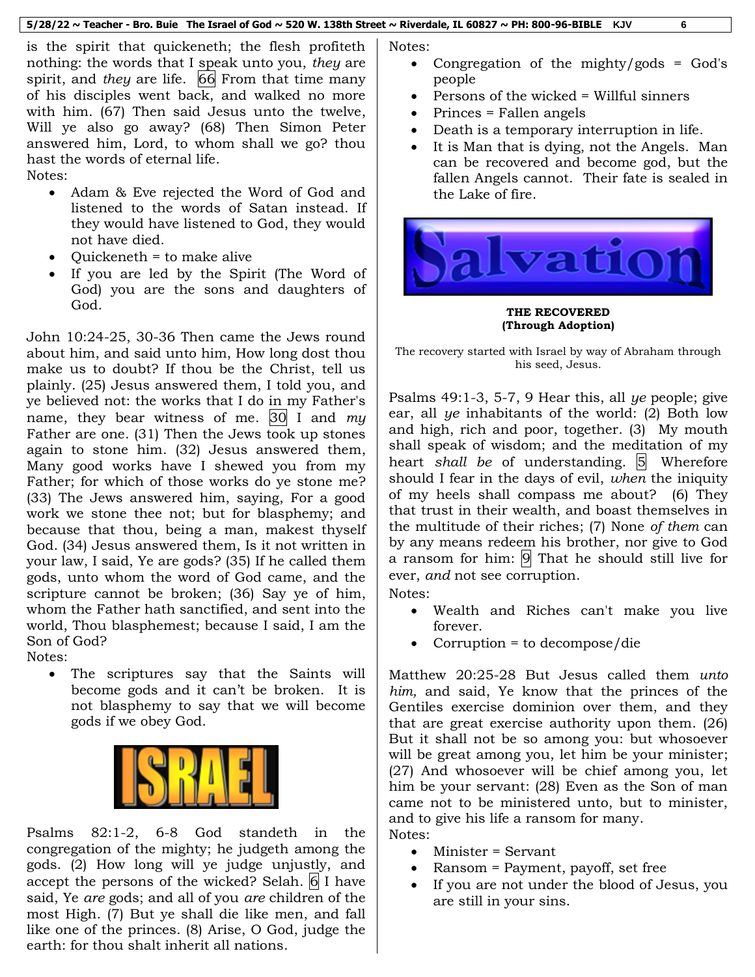is the spirit that quickeneth; the flesh profiteth nothing: the words that I speak unto you, *they* are spirit, and *they* are life. 66 From that time many of his disciples went back, and walked no more with him. (67) Then said Jesus unto the twelve, Will ye also go away? (68) Then Simon Peter answered him, Lord, to whom shall we go? thou hast the words of eternal life.

Notes:

- Adam & Eve rejected the Word of God and listened to the words of Satan instead. If they would have listened to God, they would not have died.
- Quickeneth = to make alive
- If you are led by the Spirit (The Word of God) you are the sons and daughters of God.

John 10:24-25, 30-36 Then came the Jews round about him, and said unto him, How long dost thou make us to doubt? If thou be the Christ, tell us plainly. (25) Jesus answered them, I told you, and ye believed not: the works that I do in my Father's name, they bear witness of me. 30 I and *my* Father are one. (31) Then the Jews took up stones again to stone him. (32) Jesus answered them, Many good works have I shewed you from my Father; for which of those works do ye stone me? (33) The Jews answered him, saying, For a good work we stone thee not; but for blasphemy; and because that thou, being a man, makest thyself God. (34) Jesus answered them, Is it not written in your law, I said, Ye are gods? (35) If he called them gods, unto whom the word of God came, and the scripture cannot be broken; (36) Say ye of him, whom the Father hath sanctified, and sent into the world, Thou blasphemest; because I said, I am the Son of God?

Notes:

 The scriptures say that the Saints will become gods and it can't be broken. It is not blasphemy to say that we will become gods if we obey God.



Psalms 82:1-2, 6-8 God standeth in the congregation of the mighty; he judgeth among the gods. (2) How long will ye judge unjustly, and accept the persons of the wicked? Selah. 6 I have said, Ye *are* gods; and all of you *are* children of the most High. (7) But ye shall die like men, and fall like one of the princes. (8) Arise, O God, judge the earth: for thou shalt inherit all nations.

Notes:

- Congregation of the mighty/gods = God's people
- Persons of the wicked = Willful sinners
- $\bullet$  Princes = Fallen angels
- Death is a temporary interruption in life.
- It is Man that is dying, not the Angels. Man can be recovered and become god, but the fallen Angels cannot. Their fate is sealed in the Lake of fire.



## **THE RECOVERED (Through Adoption)**

The recovery started with Israel by way of Abraham through his seed, Jesus.

Psalms 49:1-3, 5-7, 9 Hear this, all *ye* people; give ear, all *ye* inhabitants of the world: (2) Both low and high, rich and poor, together. (3) My mouth shall speak of wisdom; and the meditation of my heart *shall be* of understanding. **5** Wherefore should I fear in the days of evil, *when* the iniquity of my heels shall compass me about? (6) They that trust in their wealth, and boast themselves in the multitude of their riches; (7) None *of them* can by any means redeem his brother, nor give to God a ransom for him:  $\overline{9}$  That he should still live for ever, *and* not see corruption.

Notes:

- Wealth and Riches can't make you live forever.
- Corruption = to decompose/die

Matthew 20:25-28 But Jesus called them *unto him,* and said, Ye know that the princes of the Gentiles exercise dominion over them, and they that are great exercise authority upon them. (26) But it shall not be so among you: but whosoever will be great among you, let him be your minister; (27) And whosoever will be chief among you, let him be your servant: (28) Even as the Son of man came not to be ministered unto, but to minister, and to give his life a ransom for many. Notes:

- Minister = Servant
- Ransom = Payment, payoff, set free
- If you are not under the blood of Jesus, you are still in your sins.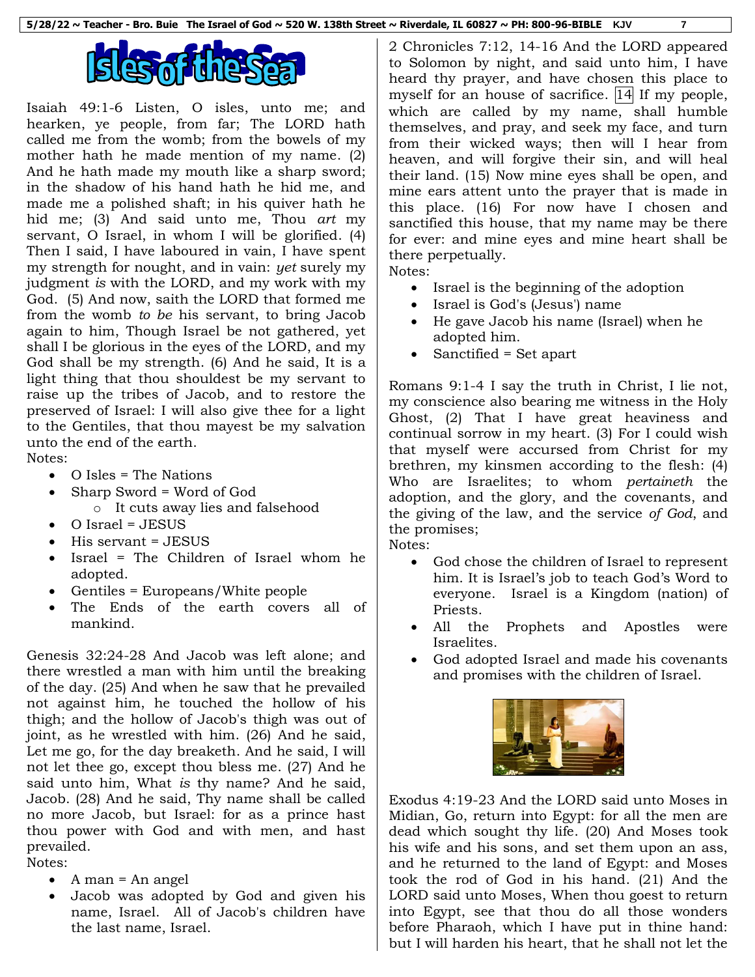

Isaiah 49:1-6 Listen, O isles, unto me; and hearken, ye people, from far; The LORD hath called me from the womb; from the bowels of my mother hath he made mention of my name. (2) And he hath made my mouth like a sharp sword; in the shadow of his hand hath he hid me, and made me a polished shaft; in his quiver hath he hid me; (3) And said unto me, Thou *art* my servant, O Israel, in whom I will be glorified. (4) Then I said, I have laboured in vain, I have spent my strength for nought, and in vain: *yet* surely my judgment *is* with the LORD, and my work with my God. (5) And now, saith the LORD that formed me from the womb *to be* his servant, to bring Jacob again to him, Though Israel be not gathered, yet shall I be glorious in the eyes of the LORD, and my God shall be my strength. (6) And he said, It is a light thing that thou shouldest be my servant to raise up the tribes of Jacob, and to restore the preserved of Israel: I will also give thee for a light to the Gentiles, that thou mayest be my salvation unto the end of the earth.

Notes:

- $\bullet$  O Isles = The Nations
- Sharp Sword = Word of God
- o It cuts away lies and falsehood
- O Israel = JESUS
- $\bullet$  His servant = JESUS
- Israel = The Children of Israel whom he adopted.
- Gentiles = Europeans/White people
- The Ends of the earth covers all of mankind.

Genesis 32:24-28 And Jacob was left alone; and there wrestled a man with him until the breaking of the day. (25) And when he saw that he prevailed not against him, he touched the hollow of his thigh; and the hollow of Jacob's thigh was out of joint, as he wrestled with him. (26) And he said, Let me go, for the day breaketh. And he said, I will not let thee go, except thou bless me. (27) And he said unto him, What *is* thy name? And he said, Jacob. (28) And he said, Thy name shall be called no more Jacob, but Israel: for as a prince hast thou power with God and with men, and hast prevailed.

Notes:

- $\bullet$  A man = An angel
- Jacob was adopted by God and given his name, Israel. All of Jacob's children have the last name, Israel.

2 Chronicles 7:12, 14-16 And the LORD appeared to Solomon by night, and said unto him, I have heard thy prayer, and have chosen this place to myself for an house of sacrifice.  $|14|$  If my people, which are called by my name, shall humble themselves, and pray, and seek my face, and turn from their wicked ways; then will I hear from heaven, and will forgive their sin, and will heal their land. (15) Now mine eyes shall be open, and mine ears attent unto the prayer that is made in this place. (16) For now have I chosen and sanctified this house, that my name may be there for ever: and mine eyes and mine heart shall be there perpetually.

Notes:

- Israel is the beginning of the adoption
- Israel is God's (Jesus') name
- He gave Jacob his name (Israel) when he adopted him.
- Sanctified = Set apart

Romans 9:1-4 I say the truth in Christ, I lie not, my conscience also bearing me witness in the Holy Ghost, (2) That I have great heaviness and continual sorrow in my heart. (3) For I could wish that myself were accursed from Christ for my brethren, my kinsmen according to the flesh: (4) Who are Israelites; to whom *pertaineth* the adoption, and the glory, and the covenants, and the giving of the law, and the service *of God*, and the promises;

Notes:

- God chose the children of Israel to represent him. It is Israel's job to teach God's Word to everyone. Israel is a Kingdom (nation) of Priests.
- All the Prophets and Apostles were Israelites.
- God adopted Israel and made his covenants and promises with the children of Israel.



Exodus 4:19-23 And the LORD said unto Moses in Midian, Go, return into Egypt: for all the men are dead which sought thy life. (20) And Moses took his wife and his sons, and set them upon an ass, and he returned to the land of Egypt: and Moses took the rod of God in his hand. (21) And the LORD said unto Moses, When thou goest to return into Egypt, see that thou do all those wonders before Pharaoh, which I have put in thine hand: but I will harden his heart, that he shall not let the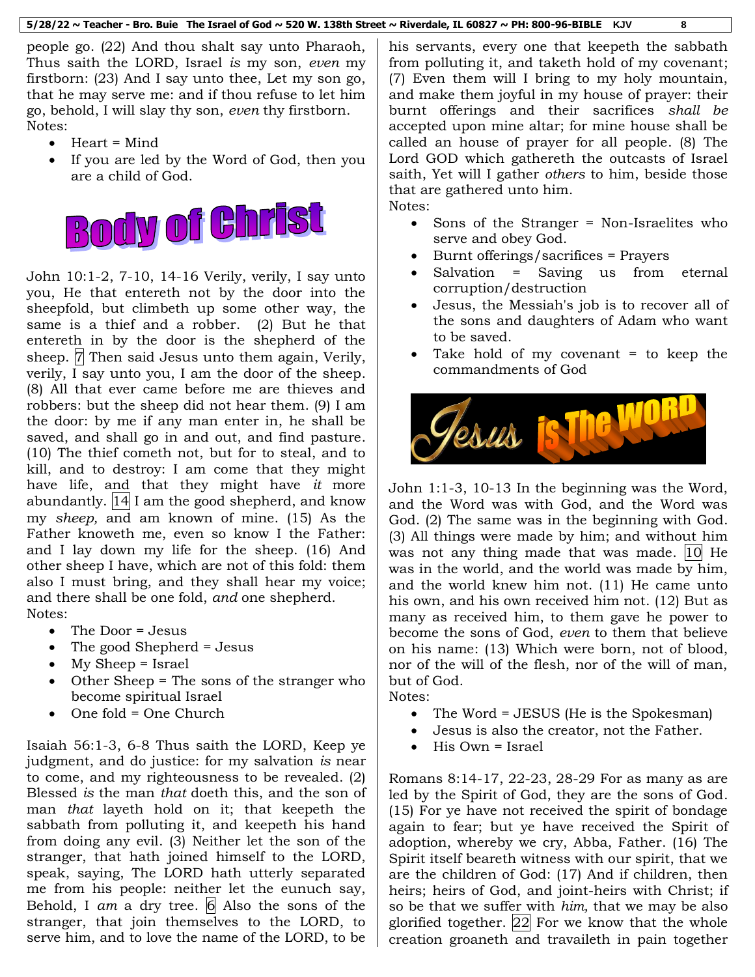people go. (22) And thou shalt say unto Pharaoh, Thus saith the LORD, Israel *is* my son, *even* my firstborn: (23) And I say unto thee, Let my son go, that he may serve me: and if thou refuse to let him go, behold, I will slay thy son, *even* thy firstborn. Notes:

- Heart = Mind
- If you are led by the Word of God, then you are a child of God.



John 10:1-2, 7-10, 14-16 Verily, verily, I say unto you, He that entereth not by the door into the sheepfold, but climbeth up some other way, the same is a thief and a robber. (2) But he that entereth in by the door is the shepherd of the sheep. **7** Then said Jesus unto them again, Verily, verily, I say unto you, I am the door of the sheep. (8) All that ever came before me are thieves and robbers: but the sheep did not hear them. (9) I am the door: by me if any man enter in, he shall be saved, and shall go in and out, and find pasture. (10) The thief cometh not, but for to steal, and to kill, and to destroy: I am come that they might have life, and that they might have *it* more abundantly.  $|14|$  I am the good shepherd, and know my *sheep,* and am known of mine. (15) As the Father knoweth me, even so know I the Father: and I lay down my life for the sheep. (16) And other sheep I have, which are not of this fold: them also I must bring, and they shall hear my voice; and there shall be one fold, *and* one shepherd. Notes:

- The Door = Jesus
- The good Shepherd = Jesus
- My Sheep = Israel
- Other Sheep = The sons of the stranger who become spiritual Israel
- One fold = One Church

Isaiah 56:1-3, 6-8 Thus saith the LORD, Keep ye judgment, and do justice: for my salvation *is* near to come, and my righteousness to be revealed. (2) Blessed *is* the man *that* doeth this, and the son of man *that* layeth hold on it; that keepeth the sabbath from polluting it, and keepeth his hand from doing any evil. (3) Neither let the son of the stranger, that hath joined himself to the LORD, speak, saying, The LORD hath utterly separated me from his people: neither let the eunuch say, Behold, I *am* a dry tree.  $\vert 6 \vert$  Also the sons of the stranger, that join themselves to the LORD, to serve him, and to love the name of the LORD, to be

his servants, every one that keepeth the sabbath from polluting it, and taketh hold of my covenant; (7) Even them will I bring to my holy mountain, and make them joyful in my house of prayer: their burnt offerings and their sacrifices *shall be* accepted upon mine altar; for mine house shall be called an house of prayer for all people. (8) The Lord GOD which gathereth the outcasts of Israel saith, Yet will I gather *others* to him, beside those that are gathered unto him.

Notes:

- Sons of the Stranger = Non-Israelites who serve and obey God.
- Burnt offerings/sacrifices = Prayers
- Salvation = Saving us from eternal corruption/destruction
- Jesus, the Messiah's job is to recover all of the sons and daughters of Adam who want to be saved.
- Take hold of my covenant  $=$  to keep the commandments of God



John 1:1-3, 10-13 In the beginning was the Word, and the Word was with God, and the Word was God. (2) The same was in the beginning with God. (3) All things were made by him; and without him was not any thing made that was made. 10 He was in the world, and the world was made by him, and the world knew him not. (11) He came unto his own, and his own received him not. (12) But as many as received him, to them gave he power to become the sons of God, *even* to them that believe on his name: (13) Which were born, not of blood, nor of the will of the flesh, nor of the will of man, but of God.

Notes:

- The Word = JESUS (He is the Spokesman)
- Jesus is also the creator, not the Father.
- $-His Own = Israel$

Romans 8:14-17, 22-23, 28-29 For as many as are led by the Spirit of God, they are the sons of God. (15) For ye have not received the spirit of bondage again to fear; but ye have received the Spirit of adoption, whereby we cry, Abba, Father. (16) The Spirit itself beareth witness with our spirit, that we are the children of God: (17) And if children, then heirs; heirs of God, and joint-heirs with Christ; if so be that we suffer with *him,* that we may be also glorified together.  $22$  For we know that the whole creation groaneth and travaileth in pain together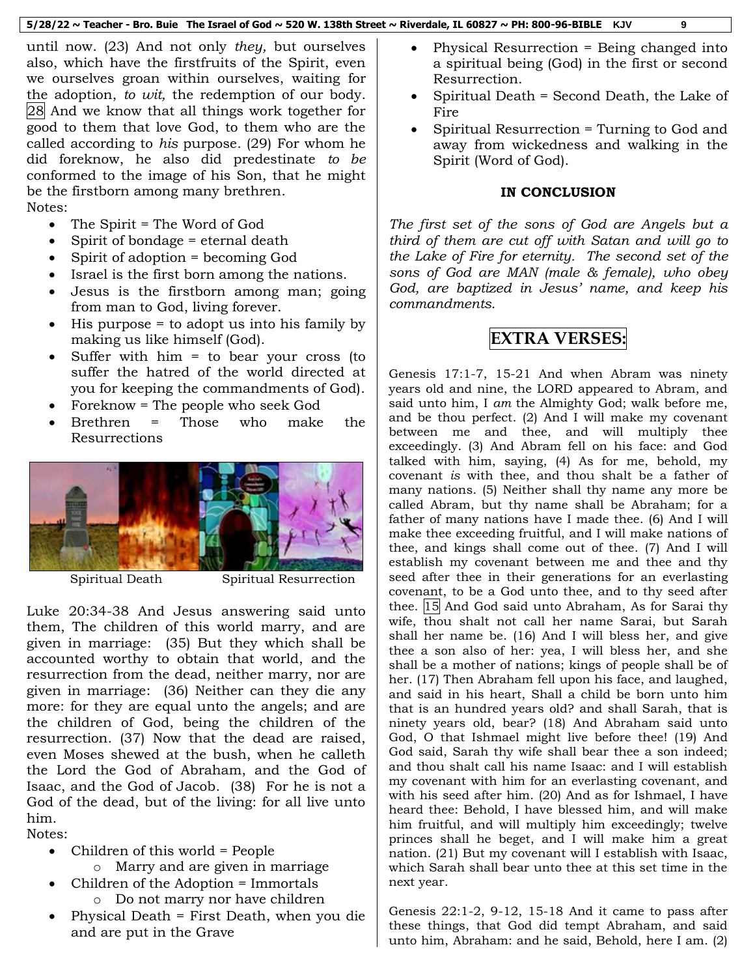until now. (23) And not only *they,* but ourselves also, which have the firstfruits of the Spirit, even we ourselves groan within ourselves, waiting for the adoption, *to wit,* the redemption of our body. 28 And we know that all things work together for good to them that love God, to them who are the called according to *his* purpose. (29) For whom he did foreknow, he also did predestinate *to be* conformed to the image of his Son, that he might be the firstborn among many brethren. Notes:

- The Spirit = The Word of God
- Spirit of bondage = eternal death
- Spirit of adoption = becoming God
- Israel is the first born among the nations.
- Jesus is the firstborn among man; going from man to God, living forever.
- His purpose = to adopt us into his family by making us like himself (God).
- Suffer with him = to bear your cross (to suffer the hatred of the world directed at you for keeping the commandments of God).
- Foreknow = The people who seek God
- Brethren = Those who make the Resurrections



Spiritual Death Spiritual Resurrection

Luke 20:34-38 And Jesus answering said unto them, The children of this world marry, and are given in marriage: (35) But they which shall be accounted worthy to obtain that world, and the resurrection from the dead, neither marry, nor are given in marriage: (36) Neither can they die any more: for they are equal unto the angels; and are the children of God, being the children of the resurrection. (37) Now that the dead are raised, even Moses shewed at the bush, when he calleth the Lord the God of Abraham, and the God of Isaac, and the God of Jacob. (38) For he is not a God of the dead, but of the living: for all live unto him.

Notes:

- Children of this world = People
	- o Marry and are given in marriage
	- Children of the Adoption = Immortals o Do not marry nor have children
- Physical Death = First Death, when you die and are put in the Grave
- Physical Resurrection = Being changed into a spiritual being (God) in the first or second Resurrection.
- Spiritual Death = Second Death, the Lake of Fire
- Spiritual Resurrection = Turning to God and away from wickedness and walking in the Spirit (Word of God).

# **IN CONCLUSION**

*The first set of the sons of God are Angels but a third of them are cut off with Satan and will go to the Lake of Fire for eternity. The second set of the sons of God are MAN (male & female), who obey God, are baptized in Jesus' name, and keep his commandments.*

# **EXTRA VERSES:**

Genesis 17:1-7, 15-21 And when Abram was ninety years old and nine, the LORD appeared to Abram, and said unto him, I *am* the Almighty God; walk before me, and be thou perfect. (2) And I will make my covenant between me and thee, and will multiply thee exceedingly. (3) And Abram fell on his face: and God talked with him, saying, (4) As for me, behold, my covenant *is* with thee, and thou shalt be a father of many nations. (5) Neither shall thy name any more be called Abram, but thy name shall be Abraham; for a father of many nations have I made thee. (6) And I will make thee exceeding fruitful, and I will make nations of thee, and kings shall come out of thee. (7) And I will establish my covenant between me and thee and thy seed after thee in their generations for an everlasting covenant, to be a God unto thee, and to thy seed after thee. 15 And God said unto Abraham, As for Sarai thy wife, thou shalt not call her name Sarai, but Sarah shall her name be. (16) And I will bless her, and give thee a son also of her: yea, I will bless her, and she shall be a mother of nations; kings of people shall be of her. (17) Then Abraham fell upon his face, and laughed, and said in his heart, Shall a child be born unto him that is an hundred years old? and shall Sarah, that is ninety years old, bear? (18) And Abraham said unto God, O that Ishmael might live before thee! (19) And God said, Sarah thy wife shall bear thee a son indeed; and thou shalt call his name Isaac: and I will establish my covenant with him for an everlasting covenant, and with his seed after him. (20) And as for Ishmael, I have heard thee: Behold, I have blessed him, and will make him fruitful, and will multiply him exceedingly; twelve princes shall he beget, and I will make him a great nation. (21) But my covenant will I establish with Isaac, which Sarah shall bear unto thee at this set time in the next year.

Genesis 22:1-2, 9-12, 15-18 And it came to pass after these things, that God did tempt Abraham, and said unto him, Abraham: and he said, Behold, here I am. (2)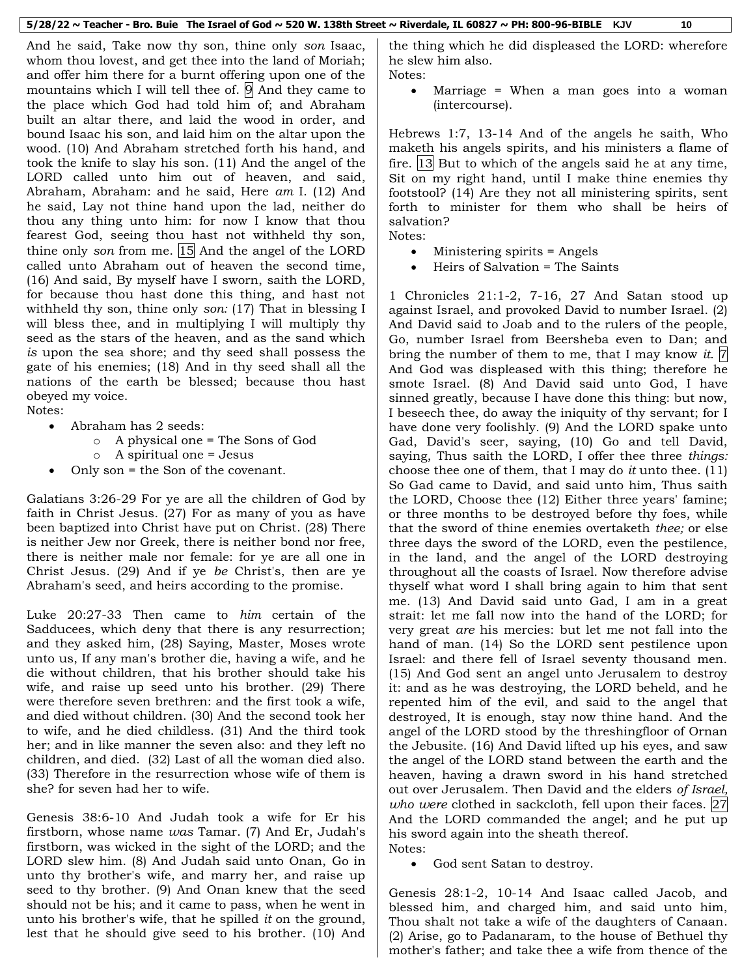And he said, Take now thy son, thine only *son* Isaac, whom thou lovest, and get thee into the land of Moriah; and offer him there for a burnt offering upon one of the mountains which I will tell thee of.  $\overline{9}$  And they came to the place which God had told him of; and Abraham built an altar there, and laid the wood in order, and bound Isaac his son, and laid him on the altar upon the wood. (10) And Abraham stretched forth his hand, and took the knife to slay his son. (11) And the angel of the LORD called unto him out of heaven, and said, Abraham, Abraham: and he said, Here *am* I. (12) And he said, Lay not thine hand upon the lad, neither do thou any thing unto him: for now I know that thou fearest God, seeing thou hast not withheld thy son, thine only *son* from me. 15 And the angel of the LORD called unto Abraham out of heaven the second time, (16) And said, By myself have I sworn, saith the LORD, for because thou hast done this thing, and hast not withheld thy son, thine only *son:* (17) That in blessing I will bless thee, and in multiplying I will multiply thy seed as the stars of the heaven, and as the sand which *is* upon the sea shore; and thy seed shall possess the gate of his enemies; (18) And in thy seed shall all the nations of the earth be blessed; because thou hast obeyed my voice.

- Notes:
	- Abraham has 2 seeds:
		- o A physical one = The Sons of God
		- o A spiritual one = Jesus
	- Only son = the Son of the covenant.

Galatians 3:26-29 For ye are all the children of God by faith in Christ Jesus. (27) For as many of you as have been baptized into Christ have put on Christ. (28) There is neither Jew nor Greek, there is neither bond nor free, there is neither male nor female: for ye are all one in Christ Jesus. (29) And if ye *be* Christ's, then are ye Abraham's seed, and heirs according to the promise.

Luke 20:27-33 Then came to *him* certain of the Sadducees, which deny that there is any resurrection; and they asked him, (28) Saying, Master, Moses wrote unto us, If any man's brother die, having a wife, and he die without children, that his brother should take his wife, and raise up seed unto his brother. (29) There were therefore seven brethren: and the first took a wife, and died without children. (30) And the second took her to wife, and he died childless. (31) And the third took her; and in like manner the seven also: and they left no children, and died. (32) Last of all the woman died also. (33) Therefore in the resurrection whose wife of them is she? for seven had her to wife.

Genesis 38:6-10 And Judah took a wife for Er his firstborn, whose name *was* Tamar. (7) And Er, Judah's firstborn, was wicked in the sight of the LORD; and the LORD slew him. (8) And Judah said unto Onan, Go in unto thy brother's wife, and marry her, and raise up seed to thy brother. (9) And Onan knew that the seed should not be his; and it came to pass, when he went in unto his brother's wife, that he spilled *it* on the ground, lest that he should give seed to his brother. (10) And

the thing which he did displeased the LORD: wherefore he slew him also. Notes:

 Marriage = When a man goes into a woman (intercourse).

Hebrews 1:7, 13-14 And of the angels he saith, Who maketh his angels spirits, and his ministers a flame of fire.  $|13|$  But to which of the angels said he at any time, Sit on my right hand, until I make thine enemies thy footstool? (14) Are they not all ministering spirits, sent forth to minister for them who shall be heirs of salvation? Notes:

- Ministering spirits = Angels
- Heirs of Salvation = The Saints

1 Chronicles 21:1-2, 7-16, 27 And Satan stood up against Israel, and provoked David to number Israel. (2) And David said to Joab and to the rulers of the people, Go, number Israel from Beersheba even to Dan; and bring the number of them to me, that I may know *it*. 7 And God was displeased with this thing; therefore he smote Israel. (8) And David said unto God, I have sinned greatly, because I have done this thing: but now, I beseech thee, do away the iniquity of thy servant; for I have done very foolishly. (9) And the LORD spake unto Gad, David's seer, saying, (10) Go and tell David, saying, Thus saith the LORD, I offer thee three *things:* choose thee one of them, that I may do *it* unto thee. (11) So Gad came to David, and said unto him, Thus saith the LORD, Choose thee (12) Either three years' famine; or three months to be destroyed before thy foes, while that the sword of thine enemies overtaketh *thee;* or else three days the sword of the LORD, even the pestilence, in the land, and the angel of the LORD destroying throughout all the coasts of Israel. Now therefore advise thyself what word I shall bring again to him that sent me. (13) And David said unto Gad, I am in a great strait: let me fall now into the hand of the LORD; for very great *are* his mercies: but let me not fall into the hand of man. (14) So the LORD sent pestilence upon Israel: and there fell of Israel seventy thousand men. (15) And God sent an angel unto Jerusalem to destroy it: and as he was destroying, the LORD beheld, and he repented him of the evil, and said to the angel that destroyed, It is enough, stay now thine hand. And the angel of the LORD stood by the threshingfloor of Ornan the Jebusite. (16) And David lifted up his eyes, and saw the angel of the LORD stand between the earth and the heaven, having a drawn sword in his hand stretched out over Jerusalem. Then David and the elders *of Israel,*  who were clothed in sackcloth, fell upon their faces. 27 And the LORD commanded the angel; and he put up his sword again into the sheath thereof. Notes:

God sent Satan to destroy.

Genesis 28:1-2, 10-14 And Isaac called Jacob, and blessed him, and charged him, and said unto him, Thou shalt not take a wife of the daughters of Canaan. (2) Arise, go to Padanaram, to the house of Bethuel thy mother's father; and take thee a wife from thence of the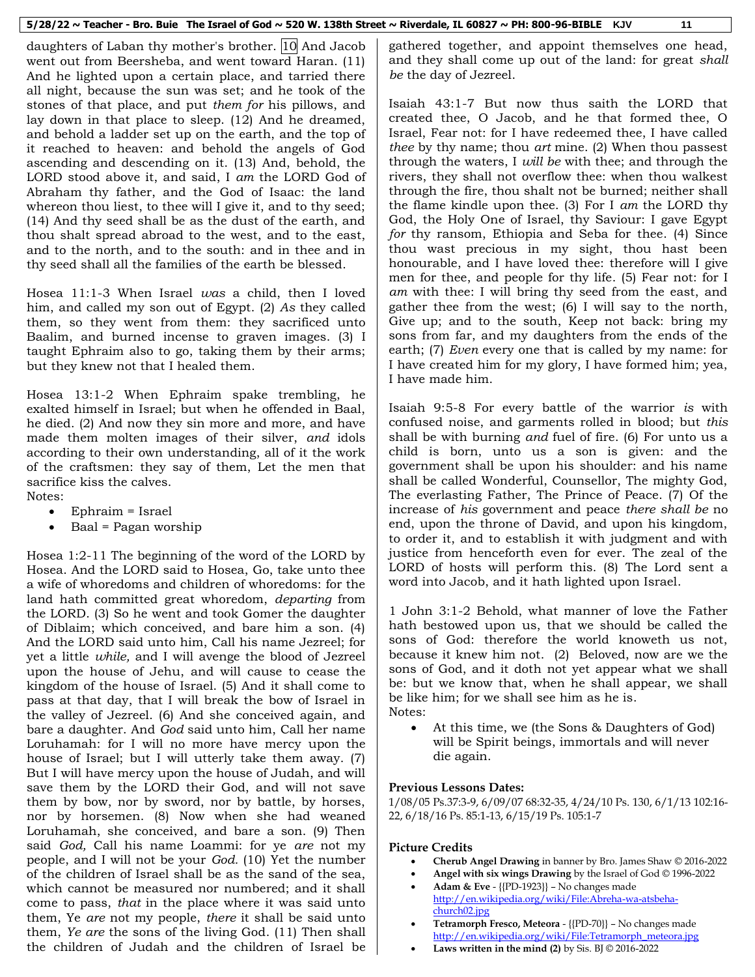daughters of Laban thy mother's brother. 10 And Jacob went out from Beersheba, and went toward Haran. (11) And he lighted upon a certain place, and tarried there all night, because the sun was set; and he took of the stones of that place, and put *them for* his pillows, and lay down in that place to sleep. (12) And he dreamed, and behold a ladder set up on the earth, and the top of it reached to heaven: and behold the angels of God ascending and descending on it. (13) And, behold, the LORD stood above it, and said, I *am* the LORD God of Abraham thy father, and the God of Isaac: the land whereon thou liest, to thee will I give it, and to thy seed; (14) And thy seed shall be as the dust of the earth, and thou shalt spread abroad to the west, and to the east, and to the north, and to the south: and in thee and in thy seed shall all the families of the earth be blessed.

Hosea 11:1-3 When Israel *was* a child, then I loved him, and called my son out of Egypt. (2) *As* they called them, so they went from them: they sacrificed unto Baalim, and burned incense to graven images. (3) I taught Ephraim also to go, taking them by their arms; but they knew not that I healed them.

Hosea 13:1-2 When Ephraim spake trembling, he exalted himself in Israel; but when he offended in Baal, he died. (2) And now they sin more and more, and have made them molten images of their silver, *and* idols according to their own understanding, all of it the work of the craftsmen: they say of them, Let the men that sacrifice kiss the calves.

- Notes:
	- Ephraim = Israel
	- Baal = Pagan worship

Hosea 1:2-11 The beginning of the word of the LORD by Hosea. And the LORD said to Hosea, Go, take unto thee a wife of whoredoms and children of whoredoms: for the land hath committed great whoredom, *departing* from the LORD. (3) So he went and took Gomer the daughter of Diblaim; which conceived, and bare him a son. (4) And the LORD said unto him, Call his name Jezreel; for yet a little *while,* and I will avenge the blood of Jezreel upon the house of Jehu, and will cause to cease the kingdom of the house of Israel. (5) And it shall come to pass at that day, that I will break the bow of Israel in the valley of Jezreel. (6) And she conceived again, and bare a daughter. And *God* said unto him, Call her name Loruhamah: for I will no more have mercy upon the house of Israel; but I will utterly take them away. (7) But I will have mercy upon the house of Judah, and will save them by the LORD their God, and will not save them by bow, nor by sword, nor by battle, by horses, nor by horsemen. (8) Now when she had weaned Loruhamah, she conceived, and bare a son. (9) Then said *God,* Call his name Loammi: for ye *are* not my people, and I will not be your *God.* (10) Yet the number of the children of Israel shall be as the sand of the sea, which cannot be measured nor numbered; and it shall come to pass, *that* in the place where it was said unto them, Ye *are* not my people, *there* it shall be said unto them, *Ye are* the sons of the living God. (11) Then shall the children of Judah and the children of Israel be gathered together, and appoint themselves one head, and they shall come up out of the land: for great *shall be* the day of Jezreel.

Isaiah 43:1-7 But now thus saith the LORD that created thee, O Jacob, and he that formed thee, O Israel, Fear not: for I have redeemed thee, I have called *thee* by thy name; thou *art* mine. (2) When thou passest through the waters, I *will be* with thee; and through the rivers, they shall not overflow thee: when thou walkest through the fire, thou shalt not be burned; neither shall the flame kindle upon thee. (3) For I *am* the LORD thy God, the Holy One of Israel, thy Saviour: I gave Egypt *for* thy ransom, Ethiopia and Seba for thee. (4) Since thou wast precious in my sight, thou hast been honourable, and I have loved thee: therefore will I give men for thee, and people for thy life. (5) Fear not: for I *am* with thee: I will bring thy seed from the east, and gather thee from the west; (6) I will say to the north, Give up; and to the south, Keep not back: bring my sons from far, and my daughters from the ends of the earth; (7) *Even* every one that is called by my name: for I have created him for my glory, I have formed him; yea, I have made him.

Isaiah 9:5-8 For every battle of the warrior *is* with confused noise, and garments rolled in blood; but *this* shall be with burning *and* fuel of fire. (6) For unto us a child is born, unto us a son is given: and the government shall be upon his shoulder: and his name shall be called Wonderful, Counsellor, The mighty God, The everlasting Father, The Prince of Peace. (7) Of the increase of *his* government and peace *there shall be* no end, upon the throne of David, and upon his kingdom, to order it, and to establish it with judgment and with justice from henceforth even for ever. The zeal of the LORD of hosts will perform this. (8) The Lord sent a word into Jacob, and it hath lighted upon Israel.

1 John 3:1-2 Behold, what manner of love the Father hath bestowed upon us, that we should be called the sons of God: therefore the world knoweth us not, because it knew him not. (2) Beloved, now are we the sons of God, and it doth not yet appear what we shall be: but we know that, when he shall appear, we shall be like him; for we shall see him as he is. Notes:

 At this time, we (the Sons & Daughters of God) will be Spirit beings, immortals and will never die again.

# **Previous Lessons Dates:**

1/08/05 Ps.37:3-9, 6/09/07 68:32-35, 4/24/10 Ps. 130, 6/1/13 102:16- 22, 6/18/16 Ps. 85:1-13, 6/15/19 Ps. 105:1-7

# **Picture Credits**

- **Cherub Angel Drawing** in banner by Bro. James Shaw © 2016-2022
- **Angel with six wings Drawing** by the Israel of God © 1996-2022
- **Adam & Eve** {{PD-1923}} No changes made [http://en.wikipedia.org/wiki/File:Abreha-wa-atsbeha](http://en.wikipedia.org/wiki/File:Abreha-wa-atsbeha-church02.jpg)[church02.jpg](http://en.wikipedia.org/wiki/File:Abreha-wa-atsbeha-church02.jpg)
- **Tetramorph Fresco, Meteora** {{PD-70}} No changes made [http://en.wikipedia.org/wiki/File:Tetramorph\\_meteora.jpg](http://en.wikipedia.org/wiki/File:Tetramorph_meteora.jpg)
- **Laws written in the mind (2)** by Sis. BJ © 2016-2022